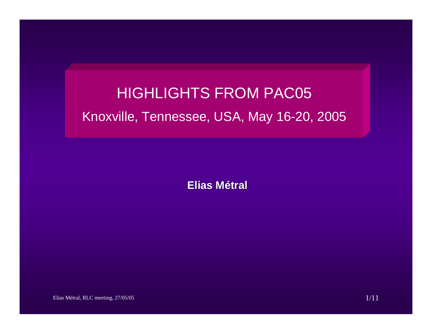# HIGHLIGHTS FROM PAC05 Knoxville, Tennessee, USA, May 16-20, 2005

**Elias Métral**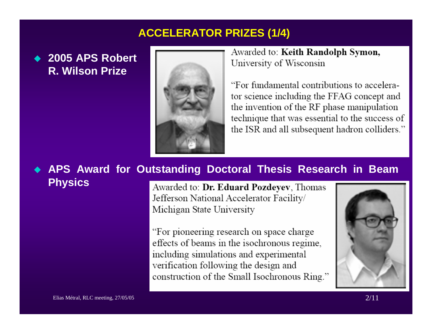# **ACCELERATOR PRIZES (1/4)**

# ◆ 2005 APS Robert **R. Wilson Prize**



Awarded to: Keith Randolph Symon, University of Wisconsin

"For fundamental contributions to accelerator science including the FFAG concept and the invention of the RF phase manipulation technique that was essential to the success of the ISR and all subsequent hadron colliders."

#### ♦ **APS Award for Outstanding Doctoral Thesis Research in Beam Physics**

Awarded to: Dr. Eduard Pozdeyev, Thomas Jefferson National Accelerator Facility/ Michigan State University

"For pioneering research on space charge effects of beams in the isochronous regime, including simulations and experimental verification following the design and construction of the Small Isochronous Ring."

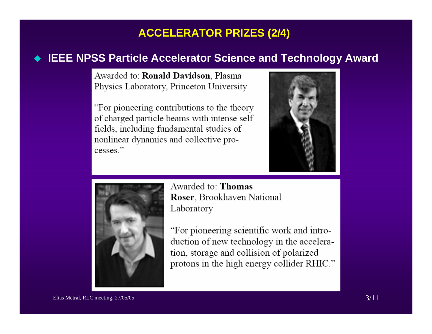# **ACCELERATOR PRIZES (2/4)**

### **IEEE NPSS Particle Accelerator Science and Technology Award**

Awarded to: Ronald Davidson, Plasma Physics Laboratory, Princeton University

"For pioneering contributions to the theory of charged particle beams with intense self fields, including fundamental studies of nonlinear dynamics and collective processes."





Awarded to: Thomas Roser, Brookhaven National Laboratory

"For pioneering scientific work and introduction of new technology in the acceleration, storage and collision of polarized protons in the high energy collider RHIC."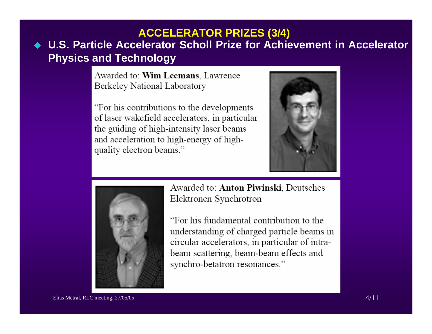## **U.S. Particle Accelerator Scholl Prize for Achievement in Accelerator Physics and Technology ACCELERATOR PRIZES (3/4)**

Awarded to: Wim Leemans, Lawrence Berkeley National Laboratory

"For his contributions to the developments" of laser wakefield accelerators, in particular the guiding of high-intensity laser beams and acceleration to high-energy of highquality electron beams."





Awarded to: Anton Piwinski, Deutsches Elektronen Synchrotron

"For his fundamental contribution to the understanding of charged particle beams in circular accelerators, in particular of intrabeam scattering, beam-beam effects and synchro-betatron resonances."

Elias Métral, RLC meeting, 27/05/05 4/11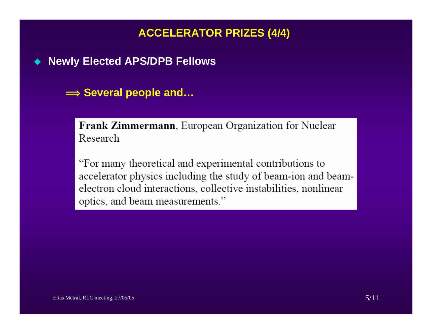# **ACCELERATOR PRIZES (4/4)**

 $\blacklozenge$ **Newly Elected APS/DPB Fellows**

**î Several people and…**

Frank Zimmermann, European Organization for Nuclear Research

"For many theoretical and experimental contributions to accelerator physics including the study of beam-ion and beamelectron cloud interactions, collective instabilities, nonlinear optics, and beam measurements."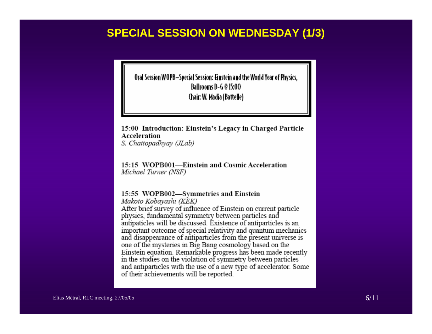### **SPECIAL SESSION ON WEDNESDAY (1/3)**

Oral Session WOPB—Special Session: Einstein and the World Year of Physics. **Ballrooms D-G @ 15:00** Chair: W. Madia (Battelle)

#### 15:00 Introduction: Einstein's Legacy in Charged Particle Acceleration S. Chattopadhyay (JLab)

15:15 WOPB001-Einstein and Cosmic Acceleration Michael Turner (NSF)

#### 15:55 WOPB002-Symmetries and Einstein

Makoto Kobayashi (KEK)

After brief survey of influence of Einstein on current particle physics, fundamental symmetry between particles and antipaticles will be discussed. Existence of antiparticles is an important outcome of special relativity and quantum mechanics and disappearance of antiparticles from the present universe is one of the mysteries in Big Bang cosmology based on the Einstein equation. Remarkable progress has been made recently in the studies on the violation of symmetry between particles and antiparticles with the use of a new type of accelerator. Some of their achievements will be reported.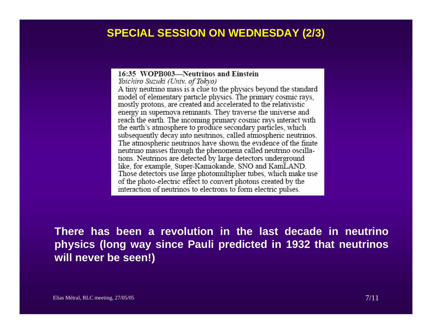### **SPECIAL SESSION ON WEDNESDAY (2/3)**

16:35 WOPB003-Neutrinos and Einstein Yoichiro Suzuki (Univ. of Tokyo) A tiny neutrino mass is a clue to the physics beyond the standard model of elementary particle physics. The primary cosmic rays, mostly protons, are created and accelerated to the relativistic energy in supernova remnants. They traverse the universe and reach the earth. The incoming primary cosmic rays interact with the earth's atmosphere to produce secondary particles, which subsequently decay into neutrinos, called atmospheric neutrinos. The atmospheric neutrinos have shown the evidence of the finite neutrino masses through the phenomena called neutrino oscillations. Neutrinos are detected by large detectors underground like, for example, Super-Kamiokande, SNO and KamLAND. Those detectors use large photomultiplier tubes, which make use of the photo-electric effect to convert photons created by the interaction of neutrinos to electrons to form electric pulses.

**There has been a revolution in the last decade in neutrino physics (long way since Pauli predicted in 1932 that neutrinos will never be seen!)**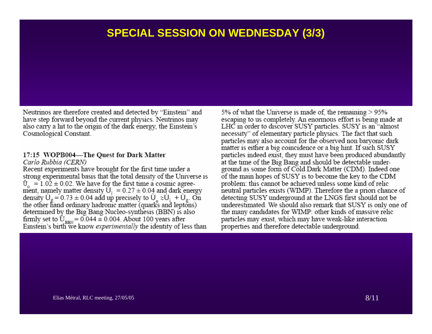### **SPECIAL SESSION ON WEDNESDAY (3/3)**

Neutrinos are therefore created and detected by "Einstein" and have step forward beyond the current physics. Neutrinos may also carry a hit to the origin of the dark energy, the Einstein's Cosmological Constant.

#### 17:15 WOPB004-The Quest for Dark Matter

#### Carlo Rubbia (CERN)

Recent experiments have brought for the first time under a strong experimental basis that the total density of the Universe is  $\hat{U}_{-} = 1.02 \pm 0.02$ . We have for the first time a cosmic agreement, namely matter density  $U_1 = 0.27 \pm 0.04$  and dark energy density  $U_{\varepsilon} = 0.73 \pm 0.04$  add up precisely to  $U_{\varepsilon} \approx U_1 + U_{\varepsilon}$ . On the other hand ordinary hadronic matter (quarks and leptons) determined by the Big Bang Nucleo-synthesis (BBN) is also firmly set to  $\hat{U}_{BBN} = 0.044 \pm 0.004$ . About 100 years after<br>Einstein's birth we know *experimentally* the identity of less than

5% of what the Universe is made of, the remaining > 95% escaping to us completely. An enormous effort is being made at LHC in order to discover SUSY particles. SUSY is an "almost necessity" of elementary particle physics. The fact that such particles may also account for the observed non baryonic dark matter is either a big coincidence or a big hint. If such SUSY particles indeed exist, they must have been produced abundantly at the time of the Big Bang and should be detectable underground as some form of Cold Dark Matter (CDM). Indeed one of the main hopes of SUSY is to become the key to the CDM problem: this cannot be achieved unless some kind of relic neutral particles exists (WIMP). Therefore the a priori chance of detecting SUSY underground at the LNGS first should not be underestimated. We should also remark that SUSY is only one of the many candidates for WIMP: other kinds of massive relic particles may exist, which may have weak-like interaction properties and therefore detectable underground.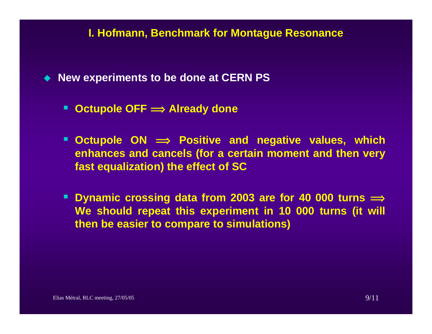### **I. Hofmann, Benchmark for Montague Resonance**

- ◆ New experiments to be done at **CERN PS** 
	- **Octupole OFF <sup>î</sup> Already done**
	- **Octupole ON <sup>î</sup> Positive and negative values, which enhances and cancels (for a certain moment and then very fast equalization) the effect of SC**
	- Dynamic crossing data from 2003 are for 40 000 turns  $\implies$ **We should repeat this experiment in 10 000 turns (it will then be easier to compare to simulations)**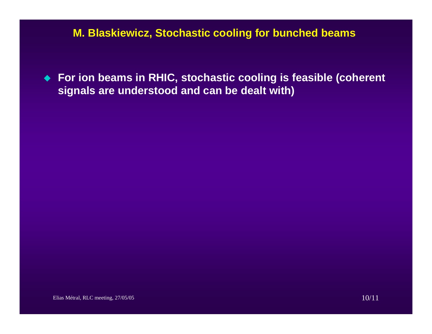### **M. Blaskiewicz, Stochastic cooling for bunched beams**

 **For ion beams in RHIC, stochastic cooling is feasible (coherent signals are understood and can be dealt with)**